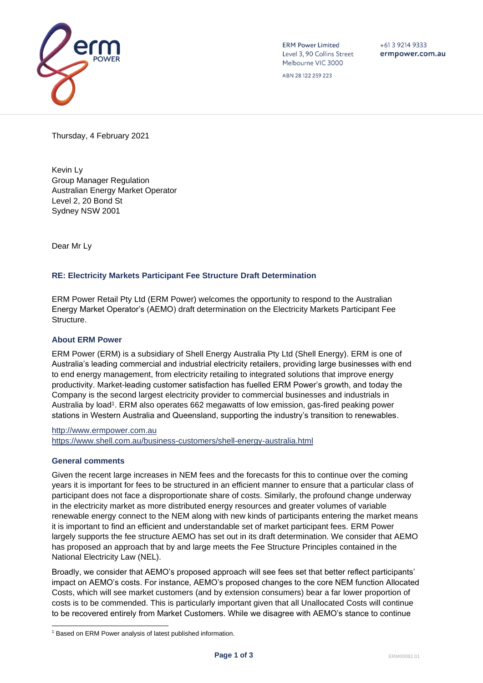

**ERM Power Limited** Level 3, 90 Collins Street Melbourne VIC 3000

ABN 28 122 259 223

 $+61392149333$ ermpower.com.au

Thursday, 4 February 2021

Kevin Ly Group Manager Regulation Australian Energy Market Operator Level 2, 20 Bond St Sydney NSW 2001

Dear Mr Ly

# **RE: Electricity Markets Participant Fee Structure Draft Determination**

ERM Power Retail Pty Ltd (ERM Power) welcomes the opportunity to respond to the Australian Energy Market Operator's (AEMO) draft determination on the Electricity Markets Participant Fee **Structure** 

### **About ERM Power**

ERM Power (ERM) is a subsidiary of Shell Energy Australia Pty Ltd (Shell Energy). ERM is one of Australia's leading commercial and industrial electricity retailers, providing large businesses with end to end energy management, from electricity retailing to integrated solutions that improve energy productivity. Market-leading customer satisfaction has fuelled ERM Power's growth, and today the Company is the second largest electricity provider to commercial businesses and industrials in Australia by load<sup>1</sup>. ERM also operates 662 megawatts of low emission, gas-fired peaking power stations in Western Australia and Queensland, supporting the industry's transition to renewables.

[http://www.ermpower.com.au](http://www.ermpower.com.au/) <https://www.shell.com.au/business-customers/shell-energy-australia.html>

#### **General comments**

Given the recent large increases in NEM fees and the forecasts for this to continue over the coming years it is important for fees to be structured in an efficient manner to ensure that a particular class of participant does not face a disproportionate share of costs. Similarly, the profound change underway in the electricity market as more distributed energy resources and greater volumes of variable renewable energy connect to the NEM along with new kinds of participants entering the market means it is important to find an efficient and understandable set of market participant fees. ERM Power largely supports the fee structure AEMO has set out in its draft determination. We consider that AEMO has proposed an approach that by and large meets the Fee Structure Principles contained in the National Electricity Law (NEL).

Broadly, we consider that AEMO's proposed approach will see fees set that better reflect participants' impact on AEMO's costs. For instance, AEMO's proposed changes to the core NEM function Allocated Costs, which will see market customers (and by extension consumers) bear a far lower proportion of costs is to be commended. This is particularly important given that all Unallocated Costs will continue to be recovered entirely from Market Customers. While we disagree with AEMO's stance to continue

<sup>&</sup>lt;sup>1</sup> Based on ERM Power analysis of latest published information.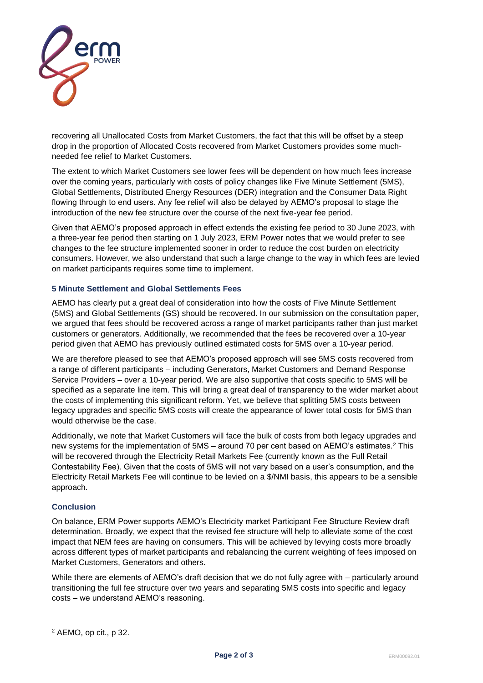

recovering all Unallocated Costs from Market Customers, the fact that this will be offset by a steep drop in the proportion of Allocated Costs recovered from Market Customers provides some muchneeded fee relief to Market Customers.

The extent to which Market Customers see lower fees will be dependent on how much fees increase over the coming years, particularly with costs of policy changes like Five Minute Settlement (5MS), Global Settlements, Distributed Energy Resources (DER) integration and the Consumer Data Right flowing through to end users. Any fee relief will also be delayed by AEMO's proposal to stage the introduction of the new fee structure over the course of the next five-year fee period.

Given that AEMO's proposed approach in effect extends the existing fee period to 30 June 2023, with a three-year fee period then starting on 1 July 2023, ERM Power notes that we would prefer to see changes to the fee structure implemented sooner in order to reduce the cost burden on electricity consumers. However, we also understand that such a large change to the way in which fees are levied on market participants requires some time to implement.

# **5 Minute Settlement and Global Settlements Fees**

AEMO has clearly put a great deal of consideration into how the costs of Five Minute Settlement (5MS) and Global Settlements (GS) should be recovered. In our submission on the consultation paper, we argued that fees should be recovered across a range of market participants rather than just market customers or generators. Additionally, we recommended that the fees be recovered over a 10-year period given that AEMO has previously outlined estimated costs for 5MS over a 10-year period.

We are therefore pleased to see that AEMO's proposed approach will see 5MS costs recovered from a range of different participants – including Generators, Market Customers and Demand Response Service Providers – over a 10-year period. We are also supportive that costs specific to 5MS will be specified as a separate line item. This will bring a great deal of transparency to the wider market about the costs of implementing this significant reform. Yet, we believe that splitting 5MS costs between legacy upgrades and specific 5MS costs will create the appearance of lower total costs for 5MS than would otherwise be the case.

Additionally, we note that Market Customers will face the bulk of costs from both legacy upgrades and new systems for the implementation of 5MS – around 70 per cent based on AEMO's estimates.<sup>2</sup> This will be recovered through the Electricity Retail Markets Fee (currently known as the Full Retail Contestability Fee). Given that the costs of 5MS will not vary based on a user's consumption, and the Electricity Retail Markets Fee will continue to be levied on a \$/NMI basis, this appears to be a sensible approach.

# **Conclusion**

On balance, ERM Power supports AEMO's Electricity market Participant Fee Structure Review draft determination. Broadly, we expect that the revised fee structure will help to alleviate some of the cost impact that NEM fees are having on consumers. This will be achieved by levying costs more broadly across different types of market participants and rebalancing the current weighting of fees imposed on Market Customers, Generators and others.

While there are elements of AEMO's draft decision that we do not fully agree with – particularly around transitioning the full fee structure over two years and separating 5MS costs into specific and legacy costs – we understand AEMO's reasoning.

<sup>2</sup> AEMO, op cit., p 32.